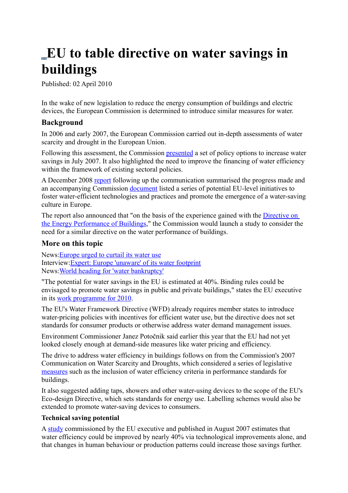# **EU to table directive on water savings in buildings**

Published: 02 April 2010

In the wake of new legislation to reduce the energy consumption of buildings and electric devices, the European Commission is determined to introduce similar measures for water.

## **Background**

In 2006 and early 2007, the European Commission carried out in-depth assessments of water scarcity and drought in the European Union.

Following this assessment, the Commission [presented](http://eur-lex.europa.eu/LexUriServ/LexUriServ.do?uri=CELEX:52007DC0414:EN:NOT) a set of policy options to increase water savings in July 2007. It also highlighted the need to improve the financing of water efficiency within the framework of existing sectoral policies.

A December 2008 [report](http://eur-lex.europa.eu/LexUriServ/LexUriServ.do?uri=COM:2008:0875:FIN:EN:PDF) following up the communication summarised the progress made and an accompanying Commission [document](http://ec.europa.eu/environment/water/pdf/com_2008_0875_working_doc.pdf) listed a series of potential EU-level initiatives to foster water-efficient technologies and practices and promote the emergence of a water-saving culture in Europe.

The report also announced that "on the basis of the experience gained with the [Directive on](http://www.euractiv.com/energy-efficiency/energy-performance-buildings-directive/article-187130) [the Energy Performance of Buildings,](http://www.euractiv.com/energy-efficiency/energy-performance-buildings-directive/article-187130)" the Commission would launch a study to consider the need for a similar directive on the water performance of buildings.

## **More on this topic**

News[:Europe urged to curtail its water use](http://www.euractiv.com/en/climate-environment/europe-urged-curtail-water-use/article-180440) Interview[:Expert: Europe 'unaware' of its water footprint](http://www.euractiv.com/en/climate-environment/expert-europe-unaware-water-footprint/article-179526) News[:World heading for 'water bankruptcy'](http://www.euractiv.com/en/climate-environment/world-heading-water-bankruptcy/article-179196)

"The potential for water savings in the EU is estimated at 40%. Binding rules could be envisaged to promote water savings in public and private buildings," states the EU executive in its [work programme for 2010.](http://ec.europa.eu/atwork/programmes/docs/cwp2010_en.pdf)

The EU's Water Framework Directive (WFD) already requires member states to introduce water-pricing policies with incentives for efficient water use, but the directive does not set standards for consumer products or otherwise address water demand management issues.

Environment Commissioner Janez Potočnik said earlier this year that the EU had not yet looked closely enough at demand-side measures like water pricing and efficiency.

The drive to address water efficiency in buildings follows on from the Commission's 2007 Communication on Water Scarcity and Droughts, which considered a series of legislative [measures](http://ec.europa.eu/environment/water/pdf/com_2008_0875_working_doc.pdf) such as the inclusion of water efficiency criteria in performance standards for buildings.

It also suggested adding taps, showers and other water-using devices to the scope of the EU's Eco-design Directive, which sets standards for energy use. Labelling schemes would also be extended to promote water-saving devices to consumers.

#### **Technical saving potential**

A [study](http://ec.europa.eu/environment/water/quantity/pdf/water_saving_1.pdf) commissioned by the EU executive and published in August 2007 estimates that water efficiency could be improved by nearly 40% via technological improvements alone, and that changes in human behaviour or production patterns could increase those savings further.